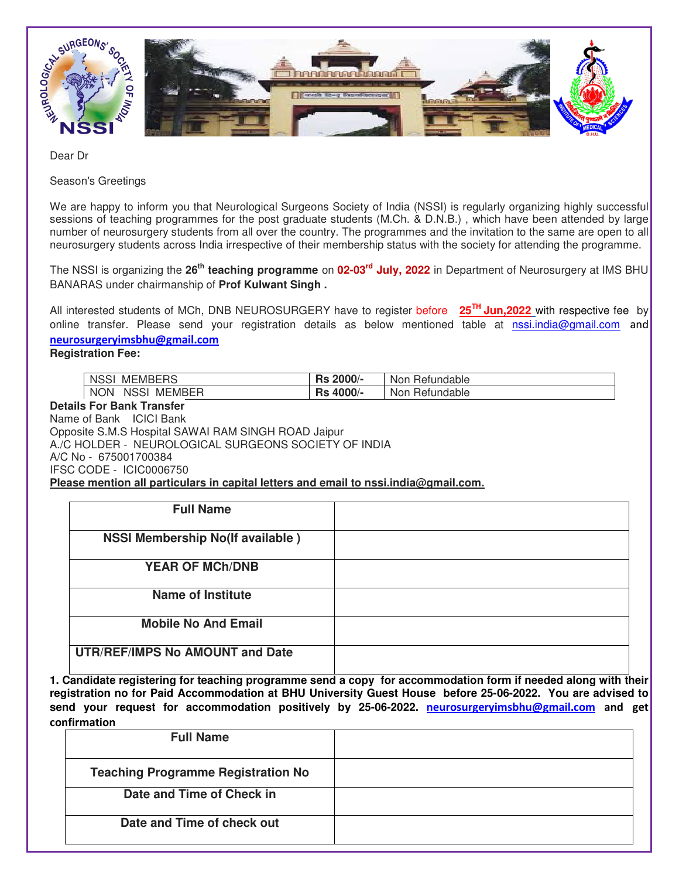

Dear Dr

Season's Greetings

We are happy to inform you that Neurological Surgeons Society of India (NSSI) is regularly organizing highly successful sessions of teaching programmes for the post graduate students (M.Ch. & D.N.B.), which have been attended by large number of neurosurgery students from all over the country. The programmes and the invitation to the same are open to all neurosurgery students across India irrespective of their membership status with the society for attending the programme.

The NSSI is organizing the **26th teaching programme** on **02-03rd July, 2022** in Department of Neurosurgery at IMS BHU BANARAS under chairmanship of **Prof Kulwant Singh .** 

All interested students of MCh, DNB NEUROSURGERY have to register before **25TH Jun,2022** with respective fee by online transfer. Please send your registration details as below mentioned table at **nssi.india@gmail.com** and **neurosurgeryimsbhu@gmail.com**

**Registration Fee:** 

| <b>NSS</b><br><b>MEMBERS</b>        | 2000/-<br>De.<br>ns. | Refundable<br><b>Non</b> |
|-------------------------------------|----------------------|--------------------------|
| <b>MEMBER</b><br><b>NON</b><br>NSSI | 4000/-<br>בר         | Refundable<br>Non        |

## **Details For Bank Transfer**

Name of Bank ICICI Bank Opposite S.M.S Hospital SAWAI RAM SINGH ROAD Jaipur A./C HOLDER - NEUROLOGICAL SURGEONS SOCIETY OF INDIA A/C No - 675001700384 IFSC CODE - ICIC0006750 **Please mention all particulars in capital letters and email to nssi.india@gmail.com.**

| <b>Full Name</b>                        |  |
|-----------------------------------------|--|
| <b>NSSI Membership No(If available)</b> |  |
| <b>YEAR OF MCh/DNB</b>                  |  |
| <b>Name of Institute</b>                |  |
| <b>Mobile No And Email</b>              |  |
| <b>UTR/REF/IMPS No AMOUNT and Date</b>  |  |

**1. Candidate registering for teaching programme send a copy for accommodation form if needed along with their registration no for Paid Accommodation at BHU University Guest House before 25-06-2022. You are advised to send your request for accommodation positively by 25-06-2022. neurosurgeryimsbhu@gmail.com and get confirmation** 

| <b>Full Name</b>                          |  |
|-------------------------------------------|--|
| <b>Teaching Programme Registration No</b> |  |
| Date and Time of Check in                 |  |
| Date and Time of check out                |  |